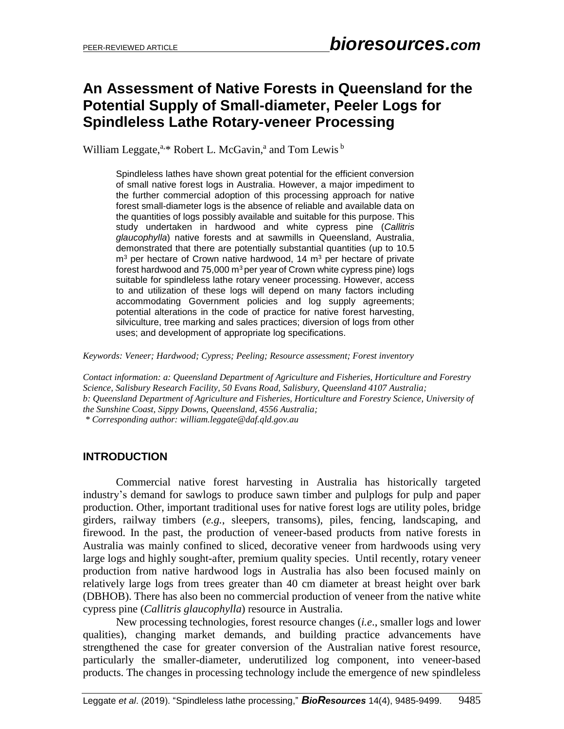## **An Assessment of Native Forests in Queensland for the Potential Supply of Small-diameter, Peeler Logs for Spindleless Lathe Rotary-veneer Processing**

William Leggate,<sup>a,\*</sup> Robert L. McGavin,<sup>a</sup> and Tom Lewis<sup>b</sup>

Spindleless lathes have shown great potential for the efficient conversion of small native forest logs in Australia. However, a major impediment to the further commercial adoption of this processing approach for native forest small-diameter logs is the absence of reliable and available data on the quantities of logs possibly available and suitable for this purpose. This study undertaken in hardwood and white cypress pine (*Callitris glaucophylla*) native forests and at sawmills in Queensland, Australia, demonstrated that there are potentially substantial quantities (up to 10.5 m<sup>3</sup> per hectare of Crown native hardwood, 14 m<sup>3</sup> per hectare of private forest hardwood and  $75,000$  m<sup>3</sup> per year of Crown white cypress pine) logs suitable for spindleless lathe rotary veneer processing. However, access to and utilization of these logs will depend on many factors including accommodating Government policies and log supply agreements; potential alterations in the code of practice for native forest harvesting, silviculture, tree marking and sales practices; diversion of logs from other uses; and development of appropriate log specifications.

*Keywords: Veneer; Hardwood; Cypress; Peeling; Resource assessment; Forest inventory*

*Contact information: a: Queensland Department of Agriculture and Fisheries, Horticulture and Forestry Science, Salisbury Research Facility, 50 Evans Road, Salisbury, Queensland 4107 Australia; b: Queensland Department of Agriculture and Fisheries, Horticulture and Forestry Science, University of the Sunshine Coast, Sippy Downs, Queensland, 4556 Australia; \* Corresponding author: william.leggate@daf.qld.gov.au*

### **INTRODUCTION**

Commercial native forest harvesting in Australia has historically targeted industry's demand for sawlogs to produce sawn timber and pulplogs for pulp and paper production. Other, important traditional uses for native forest logs are utility poles, bridge girders, railway timbers (*e.g.*, sleepers, transoms), piles, fencing, landscaping, and firewood. In the past, the production of veneer-based products from native forests in Australia was mainly confined to sliced, decorative veneer from hardwoods using very large logs and highly sought-after, premium quality species. Until recently, rotary veneer production from native hardwood logs in Australia has also been focused mainly on relatively large logs from trees greater than 40 cm diameter at breast height over bark (DBHOB). There has also been no commercial production of veneer from the native white cypress pine (*Callitris glaucophylla*) resource in Australia.

New processing technologies, forest resource changes (*i.e*., smaller logs and lower qualities), changing market demands, and building practice advancements have strengthened the case for greater conversion of the Australian native forest resource, particularly the smaller-diameter, underutilized log component, into veneer-based products. The changes in processing technology include the emergence of new spindleless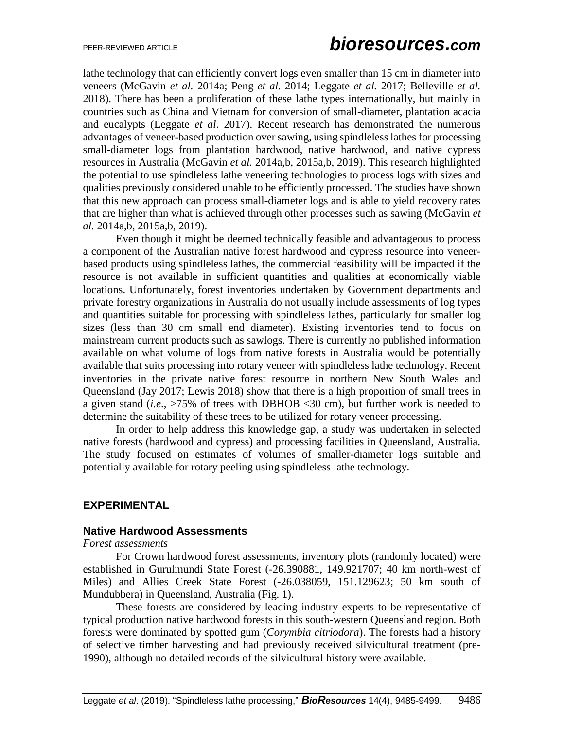lathe technology that can efficiently convert logs even smaller than 15 cm in diameter into veneers (McGavin *et al.* 2014a; Peng *et al.* 2014; Leggate *et al.* 2017; Belleville *et al.* 2018). There has been a proliferation of these lathe types internationally, but mainly in countries such as China and Vietnam for conversion of small-diameter, plantation acacia and eucalypts (Leggate *et al*. 2017). Recent research has demonstrated the numerous advantages of veneer-based production over sawing, using spindleless lathes for processing small-diameter logs from plantation hardwood, native hardwood, and native cypress resources in Australia (McGavin *et al.* 2014a,b, 2015a,b, 2019). This research highlighted the potential to use spindleless lathe veneering technologies to process logs with sizes and qualities previously considered unable to be efficiently processed. The studies have shown that this new approach can process small-diameter logs and is able to yield recovery rates that are higher than what is achieved through other processes such as sawing (McGavin *et al.* 2014a,b, 2015a,b, 2019).

Even though it might be deemed technically feasible and advantageous to process a component of the Australian native forest hardwood and cypress resource into veneerbased products using spindleless lathes, the commercial feasibility will be impacted if the resource is not available in sufficient quantities and qualities at economically viable locations. Unfortunately, forest inventories undertaken by Government departments and private forestry organizations in Australia do not usually include assessments of log types and quantities suitable for processing with spindleless lathes, particularly for smaller log sizes (less than 30 cm small end diameter). Existing inventories tend to focus on mainstream current products such as sawlogs. There is currently no published information available on what volume of logs from native forests in Australia would be potentially available that suits processing into rotary veneer with spindleless lathe technology. Recent inventories in the private native forest resource in northern New South Wales and Queensland (Jay 2017; Lewis 2018) show that there is a high proportion of small trees in a given stand (*i.e*., >75% of trees with DBHOB <30 cm), but further work is needed to determine the suitability of these trees to be utilized for rotary veneer processing.

In order to help address this knowledge gap, a study was undertaken in selected native forests (hardwood and cypress) and processing facilities in Queensland, Australia. The study focused on estimates of volumes of smaller-diameter logs suitable and potentially available for rotary peeling using spindleless lathe technology.

### **EXPERIMENTAL**

#### **Native Hardwood Assessments**

### *Forest assessments*

For Crown hardwood forest assessments, inventory plots (randomly located) were established in Gurulmundi State Forest (-26.390881, 149.921707; 40 km north-west of Miles) and Allies Creek State Forest (-26.038059, 151.129623; 50 km south of Mundubbera) in Queensland, Australia (Fig. 1).

These forests are considered by leading industry experts to be representative of typical production native hardwood forests in this south-western Queensland region. Both forests were dominated by spotted gum (*Corymbia citriodora*). The forests had a history of selective timber harvesting and had previously received silvicultural treatment (pre-1990), although no detailed records of the silvicultural history were available.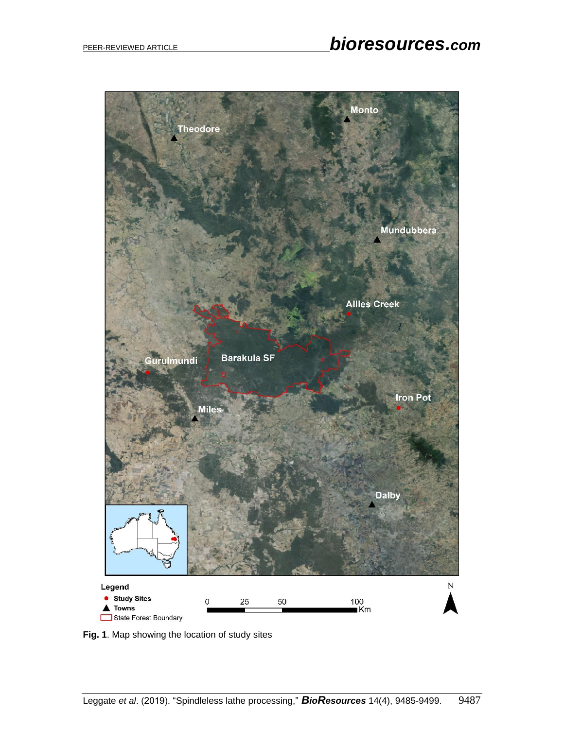

**Fig. 1**. Map showing the location of study sites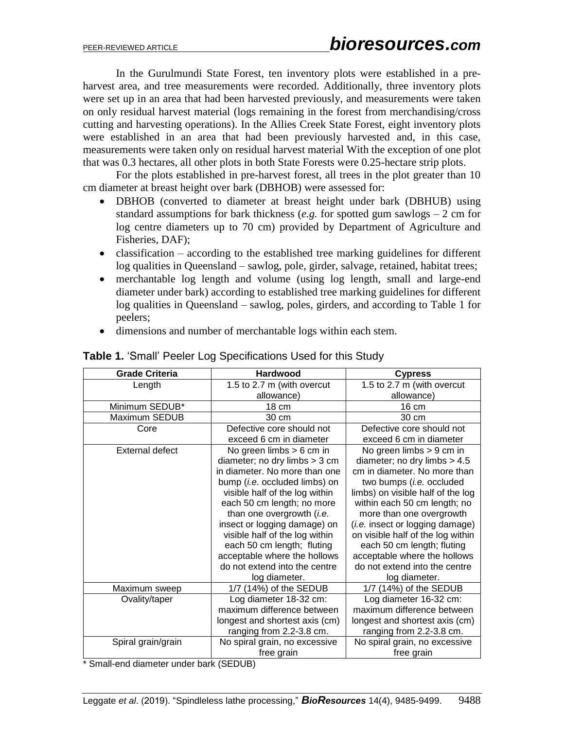In the Gurulmundi State Forest, ten inventory plots were established in a preharvest area, and tree measurements were recorded. Additionally, three inventory plots were set up in an area that had been harvested previously, and measurements were taken on only residual harvest material (logs remaining in the forest from merchandising/cross cutting and harvesting operations). In the Allies Creek State Forest, eight inventory plots were established in an area that had been previously harvested and, in this case, measurements were taken only on residual harvest material With the exception of one plot that was 0.3 hectares, all other plots in both State Forests were 0.25-hectare strip plots.

For the plots established in pre-harvest forest, all trees in the plot greater than 10 cm diameter at breast height over bark (DBHOB) were assessed for:

- DBHOB (converted to diameter at breast height under bark (DBHUB) using standard assumptions for bark thickness (*e.g.* for spotted gum sawlogs  $-2$  cm for log centre diameters up to 70 cm) provided by Department of Agriculture and Fisheries, DAF);
- classification according to the established tree marking guidelines for different log qualities in Queensland – sawlog, pole, girder, salvage, retained, habitat trees;
- merchantable log length and volume (using log length, small and large-end diameter under bark) according to established tree marking guidelines for different log qualities in Queensland – sawlog, poles, girders, and according to Table 1 for peelers;
- dimensions and number of merchantable logs within each stem.

| <b>Grade Criteria</b>  | <b>Hardwood</b>                       | <b>Cypress</b>                          |  |
|------------------------|---------------------------------------|-----------------------------------------|--|
| Length                 | 1.5 to 2.7 m (with overcut            | 1.5 to 2.7 m (with overcut              |  |
|                        | allowance)                            | allowance)                              |  |
| Minimum SEDUB*         | 18 cm                                 | 16 cm                                   |  |
| Maximum SEDUB          | 30 cm                                 | 30 cm                                   |  |
| Core                   | Defective core should not             | Defective core should not               |  |
|                        | exceed 6 cm in diameter               | exceed 6 cm in diameter                 |  |
| <b>External defect</b> | No green limbs $> 6$ cm in            | No green limbs $> 9$ cm in              |  |
|                        | diameter; no dry limbs $>$ 3 cm       | diameter; no dry limbs $> 4.5$          |  |
|                        | in diameter. No more than one         | cm in diameter. No more than            |  |
|                        | bump ( <i>i.e.</i> occluded limbs) on | two bumps ( <i>i.e.</i> occluded        |  |
|                        | visible half of the log within        | limbs) on visible half of the log       |  |
|                        | each 50 cm length; no more            | within each 50 cm length; no            |  |
|                        | than one overgrowth ( <i>i.e.</i>     | more than one overgrowth                |  |
|                        | insect or logging damage) on          | ( <i>i.e.</i> insect or logging damage) |  |
|                        | visible half of the log within        | on visible half of the log within       |  |
|                        | each 50 cm length; fluting            | each 50 cm length; fluting              |  |
|                        | acceptable where the hollows          | acceptable where the hollows            |  |
|                        | do not extend into the centre         | do not extend into the centre           |  |
|                        | log diameter.                         | log diameter.                           |  |
| Maximum sweep          | 1/7 (14%) of the SEDUB                | 1/7 (14%) of the SEDUB                  |  |
| Ovality/taper          | Log diameter 18-32 cm:                | Log diameter 16-32 cm:                  |  |
|                        | maximum difference between            | maximum difference between              |  |
|                        | longest and shortest axis (cm)        | longest and shortest axis (cm)          |  |
|                        | ranging from 2.2-3.8 cm.              | ranging from 2.2-3.8 cm.                |  |
| Spiral grain/grain     | No spiral grain, no excessive         | No spiral grain, no excessive           |  |
|                        | free grain                            | free grain                              |  |

### **Table 1.** 'Small' Peeler Log Specifications Used for this Study

\* Small-end diameter under bark (SEDUB)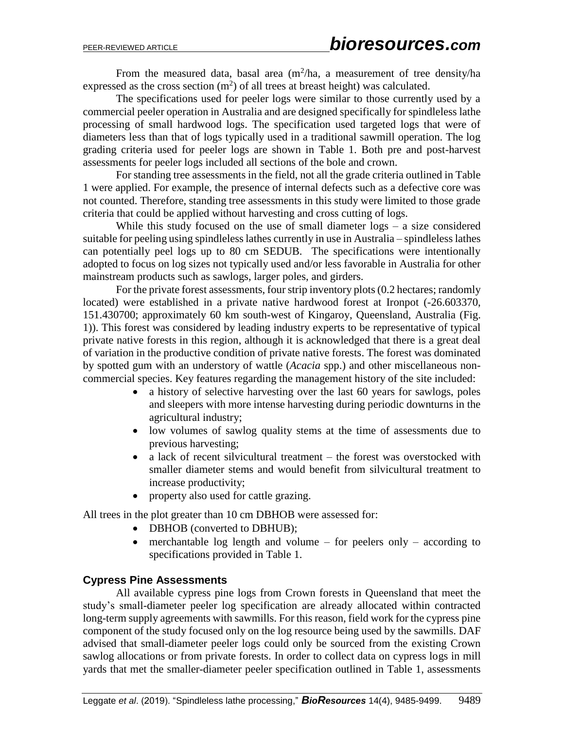From the measured data, basal area  $(m^2/ha)$ , a measurement of tree density/ha expressed as the cross section  $(m^2)$  of all trees at breast height) was calculated.

The specifications used for peeler logs were similar to those currently used by a commercial peeler operation in Australia and are designed specifically for spindleless lathe processing of small hardwood logs. The specification used targeted logs that were of diameters less than that of logs typically used in a traditional sawmill operation. The log grading criteria used for peeler logs are shown in Table 1. Both pre and post-harvest assessments for peeler logs included all sections of the bole and crown.

For standing tree assessments in the field, not all the grade criteria outlined in Table 1 were applied. For example, the presence of internal defects such as a defective core was not counted. Therefore, standing tree assessments in this study were limited to those grade criteria that could be applied without harvesting and cross cutting of logs.

While this study focused on the use of small diameter logs – a size considered suitable for peeling using spindleless lathes currently in use in Australia – spindleless lathes can potentially peel logs up to 80 cm SEDUB. The specifications were intentionally adopted to focus on log sizes not typically used and/or less favorable in Australia for other mainstream products such as sawlogs, larger poles, and girders.

For the private forest assessments, four strip inventory plots (0.2 hectares; randomly located) were established in a private native hardwood forest at Ironpot (-26.603370, 151.430700; approximately 60 km south-west of Kingaroy, Queensland, Australia (Fig. 1)). This forest was considered by leading industry experts to be representative of typical private native forests in this region, although it is acknowledged that there is a great deal of variation in the productive condition of private native forests. The forest was dominated by spotted gum with an understory of wattle (*Acacia* spp.) and other miscellaneous noncommercial species. Key features regarding the management history of the site included:

- a history of selective harvesting over the last 60 years for sawlogs, poles and sleepers with more intense harvesting during periodic downturns in the agricultural industry;
- low volumes of sawlog quality stems at the time of assessments due to previous harvesting;
- a lack of recent silvicultural treatment the forest was overstocked with smaller diameter stems and would benefit from silvicultural treatment to increase productivity;
- property also used for cattle grazing.

All trees in the plot greater than 10 cm DBHOB were assessed for:

- DBHOB (converted to DBHUB);
- $\bullet$  merchantable log length and volume for peelers only according to specifications provided in Table 1.

### **Cypress Pine Assessments**

All available cypress pine logs from Crown forests in Queensland that meet the study's small-diameter peeler log specification are already allocated within contracted long-term supply agreements with sawmills. For this reason, field work for the cypress pine component of the study focused only on the log resource being used by the sawmills. DAF advised that small-diameter peeler logs could only be sourced from the existing Crown sawlog allocations or from private forests. In order to collect data on cypress logs in mill yards that met the smaller-diameter peeler specification outlined in Table 1, assessments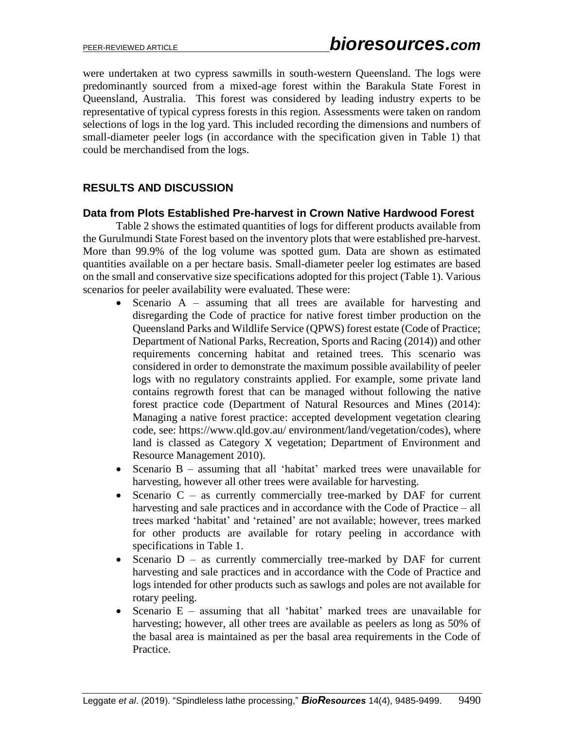were undertaken at two cypress sawmills in south-western Queensland. The logs were predominantly sourced from a mixed-age forest within the Barakula State Forest in Queensland, Australia. This forest was considered by leading industry experts to be representative of typical cypress forests in this region. Assessments were taken on random selections of logs in the log yard. This included recording the dimensions and numbers of small-diameter peeler logs (in accordance with the specification given in Table 1) that could be merchandised from the logs.

### **RESULTS AND DISCUSSION**

### **Data from Plots Established Pre-harvest in Crown Native Hardwood Forest**

Table 2 shows the estimated quantities of logs for different products available from the Gurulmundi State Forest based on the inventory plots that were established pre-harvest. More than 99.9% of the log volume was spotted gum. Data are shown as estimated quantities available on a per hectare basis. Small-diameter peeler log estimates are based on the small and conservative size specifications adopted for this project (Table 1). Various scenarios for peeler availability were evaluated. These were:

- Scenario A assuming that all trees are available for harvesting and disregarding the Code of practice for native forest timber production on the Queensland Parks and Wildlife Service (QPWS) forest estate (Code of Practice; Department of National Parks, Recreation, Sports and Racing (2014)) and other requirements concerning habitat and retained trees. This scenario was considered in order to demonstrate the maximum possible availability of peeler logs with no regulatory constraints applied. For example, some private land contains regrowth forest that can be managed without following the native forest practice code (Department of Natural Resources and Mines (2014): Managing a native forest practice: accepted development vegetation clearing code, see: [https://www.qld.gov.au/ environment/land/vegetation/codes\)](https://www.qld.gov.au/%20environment/land/vegetation/codes), where land is classed as Category X vegetation; Department of Environment and Resource Management 2010).
- Scenario B assuming that all 'habitat' marked trees were unavailable for harvesting, however all other trees were available for harvesting.
- Scenario  $C -$  as currently commercially tree-marked by DAF for current harvesting and sale practices and in accordance with the Code of Practice – all trees marked 'habitat' and 'retained' are not available; however, trees marked for other products are available for rotary peeling in accordance with specifications in Table 1.
- Scenario  $D -$  as currently commercially tree-marked by DAF for current harvesting and sale practices and in accordance with the Code of Practice and logs intended for other products such as sawlogs and poles are not available for rotary peeling.
- Scenario E assuming that all 'habitat' marked trees are unavailable for harvesting; however, all other trees are available as peelers as long as 50% of the basal area is maintained as per the basal area requirements in the Code of Practice.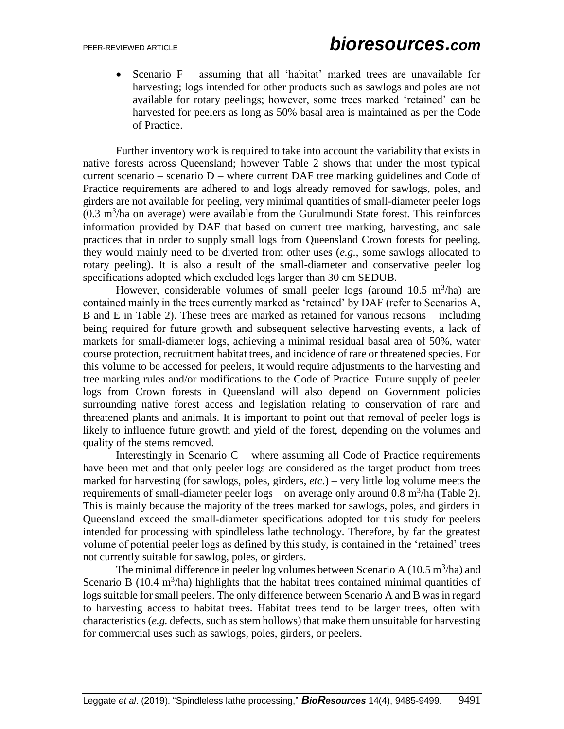• Scenario  $F -$  assuming that all 'habitat' marked trees are unavailable for harvesting; logs intended for other products such as sawlogs and poles are not available for rotary peelings; however, some trees marked 'retained' can be harvested for peelers as long as 50% basal area is maintained as per the Code of Practice.

Further inventory work is required to take into account the variability that exists in native forests across Queensland; however Table 2 shows that under the most typical current scenario – scenario  $D$  – where current DAF tree marking guidelines and Code of Practice requirements are adhered to and logs already removed for sawlogs, poles, and girders are not available for peeling, very minimal quantities of small-diameter peeler logs  $(0.3 \text{ m}^3/\text{ha}$  on average) were available from the Gurulmundi State forest. This reinforces information provided by DAF that based on current tree marking, harvesting, and sale practices that in order to supply small logs from Queensland Crown forests for peeling, they would mainly need to be diverted from other uses (*e.g.*, some sawlogs allocated to rotary peeling). It is also a result of the small-diameter and conservative peeler log specifications adopted which excluded logs larger than 30 cm SEDUB.

However, considerable volumes of small peeler logs (around  $10.5 \text{ m}^3/\text{ha}$ ) are contained mainly in the trees currently marked as 'retained' by DAF (refer to Scenarios A, B and E in Table 2). These trees are marked as retained for various reasons – including being required for future growth and subsequent selective harvesting events, a lack of markets for small-diameter logs, achieving a minimal residual basal area of 50%, water course protection, recruitment habitat trees, and incidence of rare or threatened species. For this volume to be accessed for peelers, it would require adjustments to the harvesting and tree marking rules and/or modifications to the Code of Practice. Future supply of peeler logs from Crown forests in Queensland will also depend on Government policies surrounding native forest access and legislation relating to conservation of rare and threatened plants and animals. It is important to point out that removal of peeler logs is likely to influence future growth and yield of the forest, depending on the volumes and quality of the stems removed.

Interestingly in Scenario  $C$  – where assuming all Code of Practice requirements have been met and that only peeler logs are considered as the target product from trees marked for harvesting (for sawlogs, poles, girders, *etc*.) – very little log volume meets the requirements of small-diameter peeler  $\log s$  – on average only around 0.8 m<sup>3</sup>/ha (Table 2). This is mainly because the majority of the trees marked for sawlogs, poles, and girders in Queensland exceed the small-diameter specifications adopted for this study for peelers intended for processing with spindleless lathe technology. Therefore, by far the greatest volume of potential peeler logs as defined by this study, is contained in the 'retained' trees not currently suitable for sawlog, poles, or girders.

The minimal difference in peeler log volumes between Scenario A  $(10.5 \text{ m}^3/\text{ha})$  and Scenario B (10.4  $m<sup>3</sup>/ha$ ) highlights that the habitat trees contained minimal quantities of logs suitable for small peelers. The only difference between Scenario A and B was in regard to harvesting access to habitat trees. Habitat trees tend to be larger trees, often with characteristics (*e.g.* defects, such as stem hollows) that make them unsuitable for harvesting for commercial uses such as sawlogs, poles, girders, or peelers.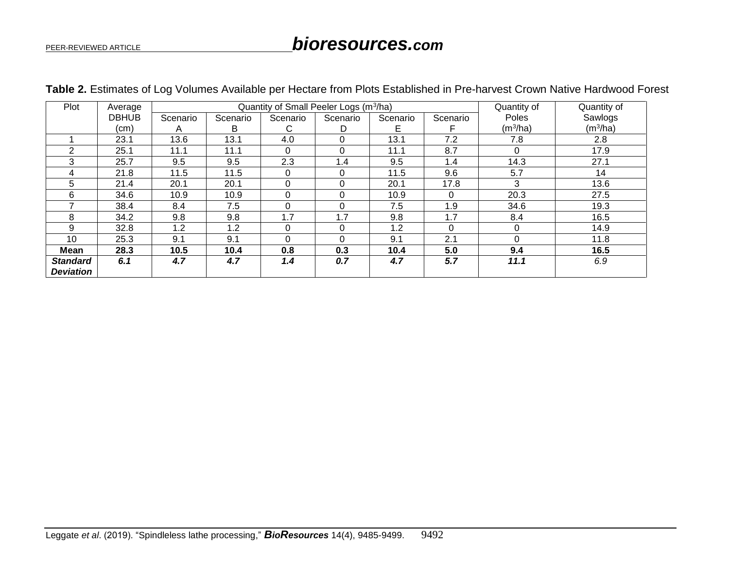# PEER-REVIEWED ARTICLE *bioresources.com*

| Plot             | Average      | Quantity of Small Peeler Logs (m <sup>3</sup> /ha) |          |          |          |          | Quantity of | Quantity of          |                      |
|------------------|--------------|----------------------------------------------------|----------|----------|----------|----------|-------------|----------------------|----------------------|
|                  | <b>DBHUB</b> | Scenario                                           | Scenario | Scenario | Scenario | Scenario | Scenario    | Poles                | Sawlogs              |
|                  | (cm)         | Α                                                  | B        | С        | D        | Е        |             | (m <sup>3</sup> /ha) | (m <sup>3</sup> /ha) |
|                  | 23.1         | 13.6                                               | 13.1     | 4.0      | $\Omega$ | 13.1     | 7.2         | 7.8                  | 2.8                  |
| $\mathcal{P}$    | 25.1         | 11.1                                               | 11.1     | 0        | 0        | 11.1     | 8.7         | 0                    | 17.9                 |
| 3                | 25.7         | 9.5                                                | 9.5      | 2.3      | 1.4      | 9.5      | 1.4         | 14.3                 | 27.1                 |
| 4                | 21.8         | 11.5                                               | 11.5     | $\Omega$ | $\Omega$ | 11.5     | 9.6         | 5.7                  | 14                   |
| 5                | 21.4         | 20.1                                               | 20.1     | 0        | 0        | 20.1     | 17.8        | 3                    | 13.6                 |
| 6                | 34.6         | 10.9                                               | 10.9     | 0        | $\Omega$ | 10.9     | $\Omega$    | 20.3                 | 27.5                 |
|                  | 38.4         | 8.4                                                | 7.5      | 0        | $\Omega$ | 7.5      | 1.9         | 34.6                 | 19.3                 |
| 8                | 34.2         | 9.8                                                | 9.8      | 1.7      | 1.7      | 9.8      | 1.7         | 8.4                  | 16.5                 |
| 9                | 32.8         | 1.2                                                | 1.2      | 0        | $\Omega$ | 1.2      | 0           | $\Omega$             | 14.9                 |
| 10               | 25.3         | 9.1                                                | 9.1      | 0        | 0        | 9.1      | 2.1         | $\Omega$             | 11.8                 |
| Mean             | 28.3         | 10.5                                               | 10.4     | 0.8      | 0.3      | 10.4     | 5.0         | 9.4                  | 16.5                 |
| <b>Standard</b>  | 6.1          | 4.7                                                | 4.7      | 1.4      | 0.7      | 4.7      | 5.7         | 11.1                 | 6.9                  |
| <b>Deviation</b> |              |                                                    |          |          |          |          |             |                      |                      |

### **Table 2.** Estimates of Log Volumes Available per Hectare from Plots Established in Pre-harvest Crown Native Hardwood Forest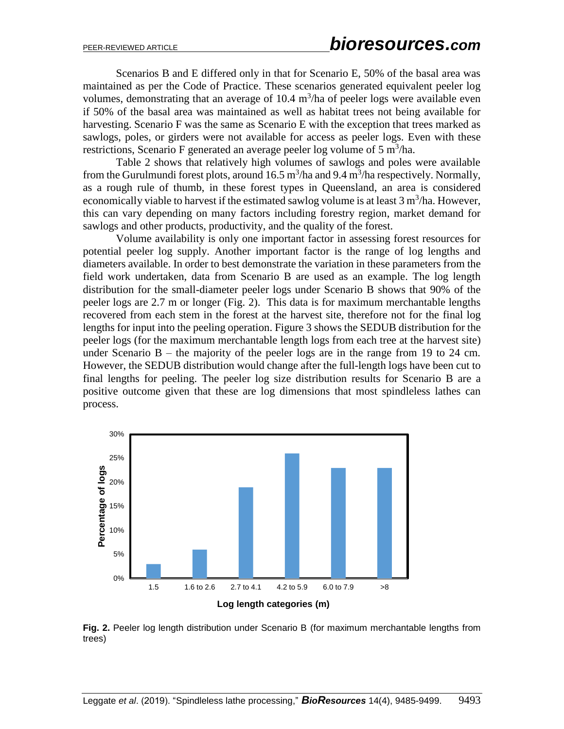Scenarios B and E differed only in that for Scenario E, 50% of the basal area was maintained as per the Code of Practice. These scenarios generated equivalent peeler log volumes, demonstrating that an average of  $10.4 \text{ m}^3/\text{ha}$  of peeler logs were available even if 50% of the basal area was maintained as well as habitat trees not being available for harvesting. Scenario F was the same as Scenario E with the exception that trees marked as sawlogs, poles, or girders were not available for access as peeler logs. Even with these restrictions, Scenario F generated an average peeler log volume of  $5 \text{ m}^3/\text{ha}$ .

Table 2 shows that relatively high volumes of sawlogs and poles were available from the Gurulmundi forest plots, around  $16.5 \text{ m}^3/\text{ha}$  and  $9.4 \text{ m}^3/\text{ha}$  respectively. Normally, as a rough rule of thumb, in these forest types in Queensland, an area is considered economically viable to harvest if the estimated sawlog volume is at least  $3 \text{ m}^3/\text{ha}$ . However, this can vary depending on many factors including forestry region, market demand for sawlogs and other products, productivity, and the quality of the forest.

Volume availability is only one important factor in assessing forest resources for potential peeler log supply. Another important factor is the range of log lengths and diameters available. In order to best demonstrate the variation in these parameters from the field work undertaken, data from Scenario B are used as an example. The log length distribution for the small-diameter peeler logs under Scenario B shows that 90% of the peeler logs are 2.7 m or longer (Fig. 2). This data is for maximum merchantable lengths recovered from each stem in the forest at the harvest site, therefore not for the final log lengths for input into the peeling operation. Figure 3 shows the SEDUB distribution for the peeler logs (for the maximum merchantable length logs from each tree at the harvest site) under Scenario  $B -$  the majority of the peeler logs are in the range from 19 to 24 cm. However, the SEDUB distribution would change after the full-length logs have been cut to final lengths for peeling. The peeler log size distribution results for Scenario B are a positive outcome given that these are log dimensions that most spindleless lathes can process.



**Fig. 2.** Peeler log length distribution under Scenario B (for maximum merchantable lengths from trees)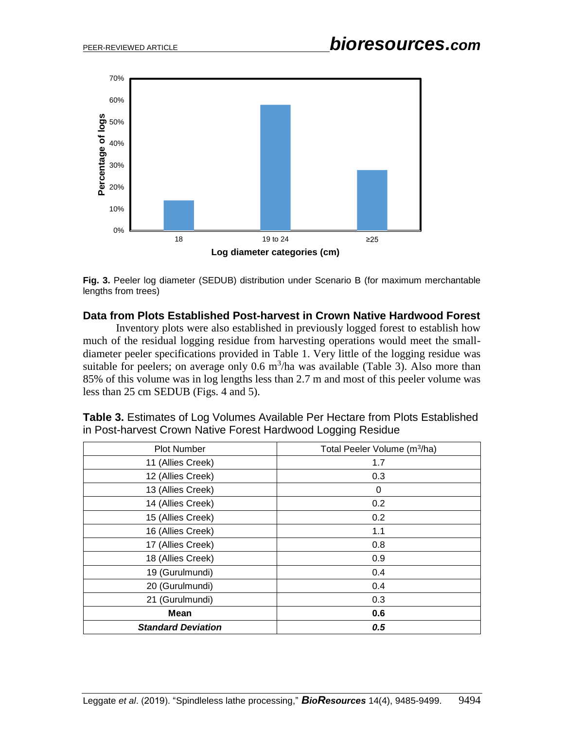

**Fig. 3.** Peeler log diameter (SEDUB) distribution under Scenario B (for maximum merchantable lengths from trees)

### **Data from Plots Established Post-harvest in Crown Native Hardwood Forest**

Inventory plots were also established in previously logged forest to establish how much of the residual logging residue from harvesting operations would meet the smalldiameter peeler specifications provided in Table 1. Very little of the logging residue was suitable for peelers; on average only  $0.6 \text{ m}^3/\text{ha}$  was available (Table 3). Also more than 85% of this volume was in log lengths less than 2.7 m and most of this peeler volume was less than 25 cm SEDUB (Figs. 4 and 5).

| <b>Plot Number</b>        | Total Peeler Volume (m <sup>3</sup> /ha) |
|---------------------------|------------------------------------------|
| 11 (Allies Creek)         | 1.7                                      |
| 12 (Allies Creek)         | 0.3                                      |
| 13 (Allies Creek)         | 0                                        |
| 14 (Allies Creek)         | 0.2                                      |
| 15 (Allies Creek)         | 0.2                                      |
| 16 (Allies Creek)         | 1.1                                      |
| 17 (Allies Creek)         | 0.8                                      |
| 18 (Allies Creek)         | 0.9                                      |
| 19 (Gurulmundi)           | 0.4                                      |
| 20 (Gurulmundi)           | 0.4                                      |
| 21 (Gurulmundi)           | 0.3                                      |
| <b>Mean</b>               | 0.6                                      |
| <b>Standard Deviation</b> | 0.5                                      |

**Table 3.** Estimates of Log Volumes Available Per Hectare from Plots Established in Post-harvest Crown Native Forest Hardwood Logging Residue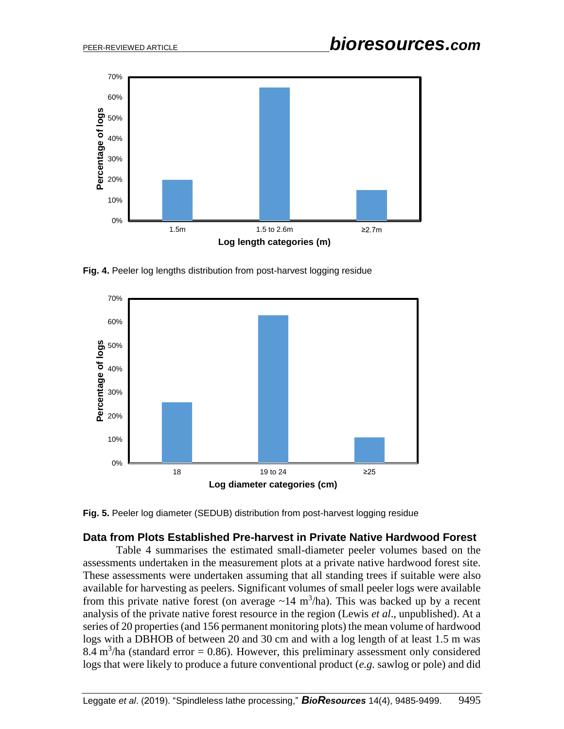

**Fig. 4.** Peeler log lengths distribution from post-harvest logging residue



**Fig. 5.** Peeler log diameter (SEDUB) distribution from post-harvest logging residue

### **Data from Plots Established Pre-harvest in Private Native Hardwood Forest**

Table 4 summarises the estimated small-diameter peeler volumes based on the assessments undertaken in the measurement plots at a private native hardwood forest site. These assessments were undertaken assuming that all standing trees if suitable were also available for harvesting as peelers. Significant volumes of small peeler logs were available from this private native forest (on average  $\sim$ 14 m<sup>3</sup>/ha). This was backed up by a recent analysis of the private native forest resource in the region (Lewis *et al*., unpublished). At a series of 20 properties (and 156 permanent monitoring plots) the mean volume of hardwood logs with a DBHOB of between 20 and 30 cm and with a log length of at least 1.5 m was 8.4 m<sup>3</sup>/ha (standard error = 0.86). However, this preliminary assessment only considered logs that were likely to produce a future conventional product (*e.g.* sawlog or pole) and did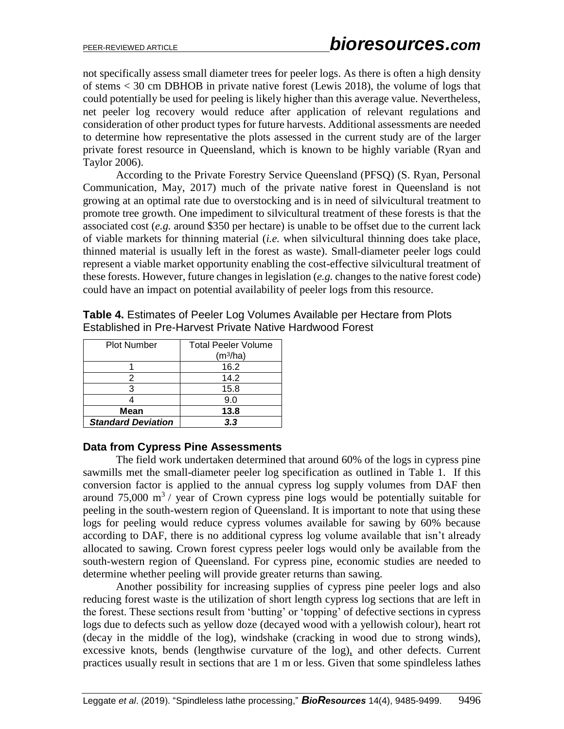not specifically assess small diameter trees for peeler logs. As there is often a high density of stems < 30 cm DBHOB in private native forest (Lewis 2018), the volume of logs that could potentially be used for peeling is likely higher than this average value. Nevertheless, net peeler log recovery would reduce after application of relevant regulations and consideration of other product types for future harvests. Additional assessments are needed to determine how representative the plots assessed in the current study are of the larger private forest resource in Queensland, which is known to be highly variable (Ryan and Taylor 2006).

According to the Private Forestry Service Queensland (PFSQ) (S. Ryan, Personal Communication, May, 2017) much of the private native forest in Queensland is not growing at an optimal rate due to overstocking and is in need of silvicultural treatment to promote tree growth. One impediment to silvicultural treatment of these forests is that the associated cost (*e.g.* around \$350 per hectare) is unable to be offset due to the current lack of viable markets for thinning material (*i.e.* when silvicultural thinning does take place, thinned material is usually left in the forest as waste). Small-diameter peeler logs could represent a viable market opportunity enabling the cost-effective silvicultural treatment of these forests. However, future changes in legislation (*e.g.* changes to the native forest code) could have an impact on potential availability of peeler logs from this resource.

| <b>Plot Number</b>        | <b>Total Peeler Volume</b><br>(m <sup>3</sup> /ha) |
|---------------------------|----------------------------------------------------|
|                           | 16.2                                               |
| 2                         | 14.2                                               |
| 3                         | 15.8                                               |
|                           | 9.0                                                |
| Mean                      | 13.8                                               |
| <b>Standard Deviation</b> | 3.3                                                |

**Table 4.** Estimates of Peeler Log Volumes Available per Hectare from Plots Established in Pre-Harvest Private Native Hardwood Forest

### **Data from Cypress Pine Assessments**

The field work undertaken determined that around 60% of the logs in cypress pine sawmills met the small-diameter peeler log specification as outlined in Table 1. If this conversion factor is applied to the annual cypress log supply volumes from DAF then around 75,000  $\mathrm{m}^3$  / year of Crown cypress pine logs would be potentially suitable for peeling in the south-western region of Queensland. It is important to note that using these logs for peeling would reduce cypress volumes available for sawing by 60% because according to DAF, there is no additional cypress log volume available that isn't already allocated to sawing. Crown forest cypress peeler logs would only be available from the south-western region of Queensland. For cypress pine, economic studies are needed to determine whether peeling will provide greater returns than sawing.

Another possibility for increasing supplies of cypress pine peeler logs and also reducing forest waste is the utilization of short length cypress log sections that are left in the forest. These sections result from 'butting' or 'topping' of defective sections in cypress logs due to defects such as yellow doze (decayed wood with a yellowish colour), heart rot (decay in the middle of the log), windshake (cracking in wood due to strong winds), excessive knots, bends (lengthwise curvature of the log), and other defects. Current practices usually result in sections that are 1 m or less. Given that some spindleless lathes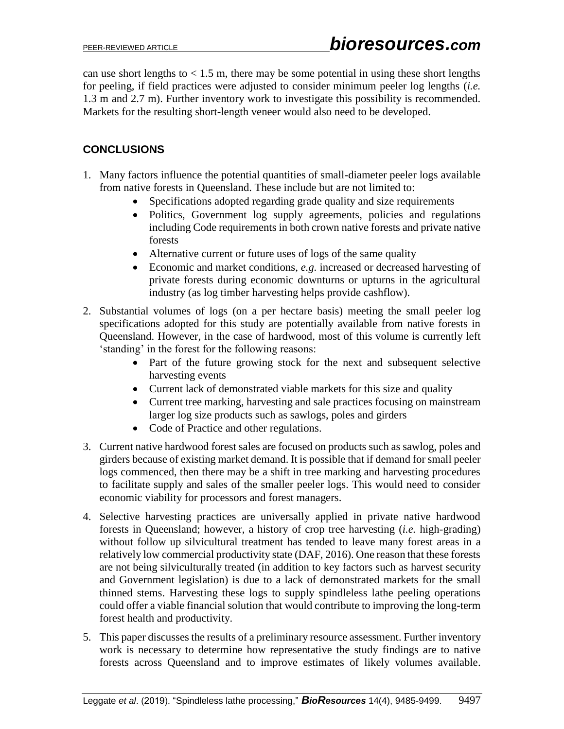can use short lengths to  $< 1.5$  m, there may be some potential in using these short lengths for peeling, if field practices were adjusted to consider minimum peeler log lengths (*i.e.* 1.3 m and 2.7 m). Further inventory work to investigate this possibility is recommended. Markets for the resulting short-length veneer would also need to be developed.

## **CONCLUSIONS**

- 1. Many factors influence the potential quantities of small-diameter peeler logs available from native forests in Queensland. These include but are not limited to:
	- Specifications adopted regarding grade quality and size requirements
	- Politics, Government log supply agreements, policies and regulations including Code requirements in both crown native forests and private native forests
	- Alternative current or future uses of logs of the same quality
	- Economic and market conditions, *e.g.* increased or decreased harvesting of private forests during economic downturns or upturns in the agricultural industry (as log timber harvesting helps provide cashflow).
- 2. Substantial volumes of logs (on a per hectare basis) meeting the small peeler log specifications adopted for this study are potentially available from native forests in Queensland. However, in the case of hardwood, most of this volume is currently left 'standing' in the forest for the following reasons:
	- Part of the future growing stock for the next and subsequent selective harvesting events
	- Current lack of demonstrated viable markets for this size and quality
	- Current tree marking, harvesting and sale practices focusing on mainstream larger log size products such as sawlogs, poles and girders
	- Code of Practice and other regulations.
- 3. Current native hardwood forest sales are focused on products such as sawlog, poles and girders because of existing market demand. It is possible that if demand for small peeler logs commenced, then there may be a shift in tree marking and harvesting procedures to facilitate supply and sales of the smaller peeler logs. This would need to consider economic viability for processors and forest managers.
- 4. Selective harvesting practices are universally applied in private native hardwood forests in Queensland; however, a history of crop tree harvesting (*i.e.* high-grading) without follow up silvicultural treatment has tended to leave many forest areas in a relatively low commercial productivity state (DAF, 2016). One reason that these forests are not being silviculturally treated (in addition to key factors such as harvest security and Government legislation) is due to a lack of demonstrated markets for the small thinned stems. Harvesting these logs to supply spindleless lathe peeling operations could offer a viable financial solution that would contribute to improving the long-term forest health and productivity.
- 5. This paper discusses the results of a preliminary resource assessment. Further inventory work is necessary to determine how representative the study findings are to native forests across Queensland and to improve estimates of likely volumes available.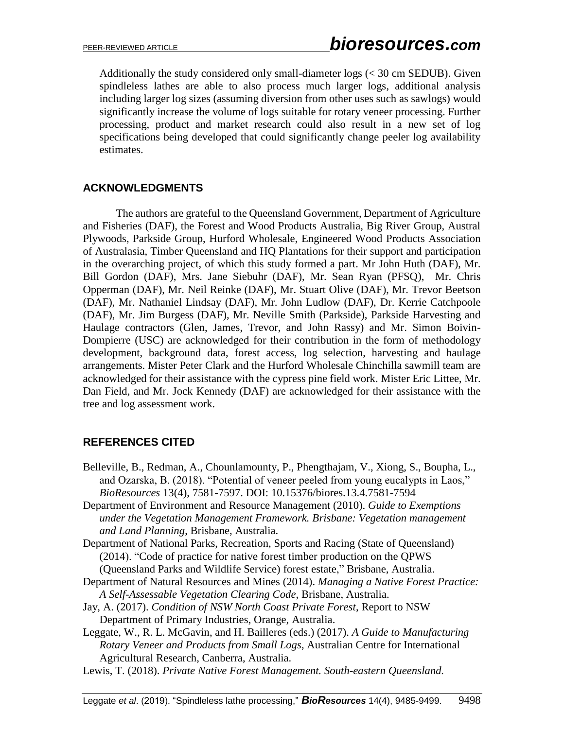Additionally the study considered only small-diameter logs (< 30 cm SEDUB). Given spindleless lathes are able to also process much larger logs, additional analysis including larger log sizes (assuming diversion from other uses such as sawlogs) would significantly increase the volume of logs suitable for rotary veneer processing. Further processing, product and market research could also result in a new set of log specifications being developed that could significantly change peeler log availability estimates.

### **ACKNOWLEDGMENTS**

The authors are grateful to the Queensland Government, Department of Agriculture and Fisheries (DAF), the Forest and Wood Products Australia, Big River Group, Austral Plywoods, Parkside Group, Hurford Wholesale, Engineered Wood Products Association of Australasia, Timber Queensland and HQ Plantations for their support and participation in the overarching project, of which this study formed a part. Mr John Huth (DAF), Mr. Bill Gordon (DAF), Mrs. Jane Siebuhr (DAF), Mr. Sean Ryan (PFSQ), Mr. Chris Opperman (DAF), Mr. Neil Reinke (DAF), Mr. Stuart Olive (DAF), Mr. Trevor Beetson (DAF), Mr. Nathaniel Lindsay (DAF), Mr. John Ludlow (DAF), Dr. Kerrie Catchpoole (DAF), Mr. Jim Burgess (DAF), Mr. Neville Smith (Parkside), Parkside Harvesting and Haulage contractors (Glen, James, Trevor, and John Rassy) and Mr. Simon Boivin-Dompierre (USC) are acknowledged for their contribution in the form of methodology development, background data, forest access, log selection, harvesting and haulage arrangements. Mister Peter Clark and the Hurford Wholesale Chinchilla sawmill team are acknowledged for their assistance with the cypress pine field work. Mister Eric Littee, Mr. Dan Field, and Mr. Jock Kennedy (DAF) are acknowledged for their assistance with the tree and log assessment work.

### **REFERENCES CITED**

- Belleville, B., Redman, A., Chounlamounty, P., Phengthajam, V., Xiong, S., Boupha, L., and Ozarska, B. (2018). "Potential of veneer peeled from young eucalypts in Laos," *BioResources* 13(4), 7581-7597. DOI: 10.15376/biores.13.4.7581-7594
- Department of Environment and Resource Management (2010). *Guide to Exemptions under the Vegetation Management Framework. Brisbane: Vegetation management and Land Planning*, Brisbane, Australia.
- Department of National Parks, Recreation, Sports and Racing (State of Queensland) (2014). "Code of practice for native forest timber production on the QPWS (Queensland Parks and Wildlife Service) forest estate," Brisbane, Australia.
- Department of Natural Resources and Mines (2014). *Managing a Native Forest Practice: A Self-Assessable Vegetation Clearing Code*, Brisbane, Australia.
- Jay, A. (2017). *Condition of NSW North Coast Private Forest*, Report to NSW Department of Primary Industries, Orange, Australia.
- Leggate, W., R. L. McGavin, and H. Bailleres (eds.) (2017). *A Guide to Manufacturing Rotary Veneer and Products from Small Logs*, Australian Centre for International Agricultural Research, Canberra, Australia.
- Lewis, T. (2018). *Private Native Forest Management. South-eastern Queensland.*